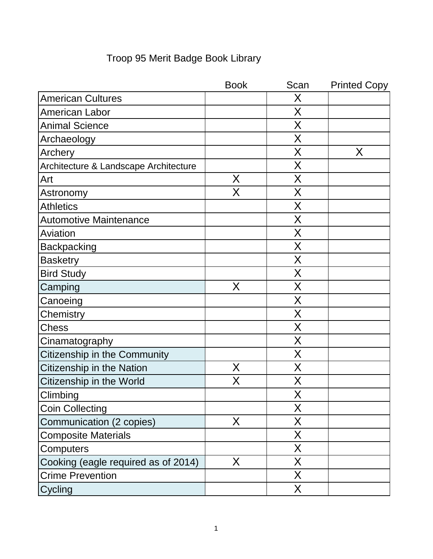|                                       | <b>Book</b> | Scan | <b>Printed Copy</b> |
|---------------------------------------|-------------|------|---------------------|
| <b>American Cultures</b>              |             | Χ    |                     |
| <b>American Labor</b>                 |             | X    |                     |
| <b>Animal Science</b>                 |             | Χ    |                     |
| Archaeology                           |             | Χ    |                     |
| Archery                               |             | X    | Χ                   |
| Architecture & Landscape Architecture |             | Χ    |                     |
| Art                                   | Χ           | Χ    |                     |
| Astronomy                             | X           | X    |                     |
| <b>Athletics</b>                      |             | Χ    |                     |
| <b>Automotive Maintenance</b>         |             | Χ    |                     |
| Aviation                              |             | X    |                     |
| <b>Backpacking</b>                    |             | Χ    |                     |
| <b>Basketry</b>                       |             | Χ    |                     |
| <b>Bird Study</b>                     |             | Χ    |                     |
| Camping                               | Χ           | Χ    |                     |
| Canoeing                              |             | Χ    |                     |
| Chemistry                             |             | Χ    |                     |
| <b>Chess</b>                          |             | Χ    |                     |
| Cinamatography                        |             | Χ    |                     |
| Citizenship in the Community          |             | Χ    |                     |
| Citizenship in the Nation             | X           | X    |                     |
| Citizenship in the World              | Χ           | Χ    |                     |
| Climbing                              |             | X    |                     |
| <b>Coin Collecting</b>                |             | Χ    |                     |
| Communication (2 copies)              | X           | X    |                     |
| <b>Composite Materials</b>            |             | X    |                     |
| Computers                             |             | X    |                     |
| Cooking (eagle required as of 2014)   | X           | X    |                     |
| <b>Crime Prevention</b>               |             | Χ    |                     |
| Cycling                               |             | X    |                     |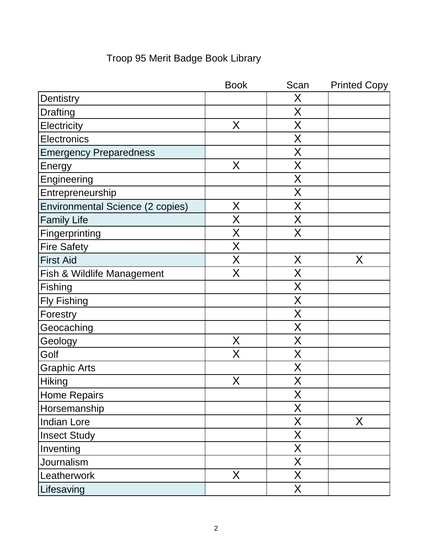|                                         | <b>Book</b> | Scan | <b>Printed Copy</b> |
|-----------------------------------------|-------------|------|---------------------|
| Dentistry                               |             | Χ    |                     |
| <b>Drafting</b>                         |             | Χ    |                     |
| Electricity                             | X           | Χ    |                     |
| Electronics                             |             | X    |                     |
| <b>Emergency Preparedness</b>           |             | X    |                     |
| Energy                                  | X           | X    |                     |
| Engineering                             |             | X    |                     |
| Entrepreneurship                        |             | X    |                     |
| <b>Environmental Science (2 copies)</b> | X           | Χ    |                     |
| <b>Family Life</b>                      | Χ           | X    |                     |
| Fingerprinting                          | X           | X    |                     |
| <b>Fire Safety</b>                      | X           |      |                     |
| <b>First Aid</b>                        | X           | X    | X                   |
| <b>Fish &amp; Wildlife Management</b>   | X           | Χ    |                     |
| Fishing                                 |             | X    |                     |
| <b>Fly Fishing</b>                      |             | X    |                     |
| Forestry                                |             | X    |                     |
| Geocaching                              |             | X    |                     |
| Geology                                 | Χ           | Χ    |                     |
| Golf                                    | Χ           | Χ    |                     |
| <b>Graphic Arts</b>                     |             | X    |                     |
| <b>Hiking</b>                           | X           | X    |                     |
| Home Repairs                            |             | X    |                     |
| Horsemanship                            |             | X    |                     |
| Indian Lore                             |             | X    | X                   |
| <b>Insect Study</b>                     |             | X    |                     |
| Inventing                               |             | X    |                     |
| Journalism                              |             | X    |                     |
| Leatherwork                             | X           | X    |                     |
| Lifesaving                              |             | X    |                     |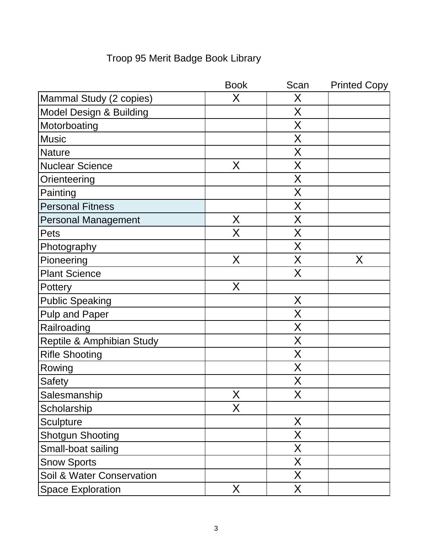|                                    | <b>Book</b> | Scan | <b>Printed Copy</b> |
|------------------------------------|-------------|------|---------------------|
| Mammal Study (2 copies)            | X           | X    |                     |
| <b>Model Design &amp; Building</b> |             | Χ    |                     |
| Motorboating                       |             | Χ    |                     |
| <b>Music</b>                       |             | X    |                     |
| Nature                             |             | X    |                     |
| <b>Nuclear Science</b>             | X           | Χ    |                     |
| Orienteering                       |             | Χ    |                     |
| Painting                           |             | X    |                     |
| <b>Personal Fitness</b>            |             | Χ    |                     |
| <b>Personal Management</b>         | X           | Χ    |                     |
| Pets                               | X           | X    |                     |
| Photography                        |             | Χ    |                     |
| Pioneering                         | X           | Χ    | X                   |
| <b>Plant Science</b>               |             | Χ    |                     |
| Pottery                            | X           |      |                     |
| <b>Public Speaking</b>             |             | X    |                     |
| <b>Pulp and Paper</b>              |             | X    |                     |
| Railroading                        |             | Χ    |                     |
| Reptile & Amphibian Study          |             | Χ    |                     |
| <b>Rifle Shooting</b>              |             | Χ    |                     |
| Rowing                             |             | X    |                     |
| Safety                             |             | Χ    |                     |
| Salesmanship                       | X           | Χ    |                     |
| Scholarship                        | X           |      |                     |
| Sculpture                          |             | X    |                     |
| <b>Shotgun Shooting</b>            |             | X.   |                     |
| Small-boat sailing                 |             | X    |                     |
| <b>Snow Sports</b>                 |             | Χ    |                     |
| Soil & Water Conservation          |             | Χ    |                     |
| <b>Space Exploration</b>           | X           | Χ    |                     |